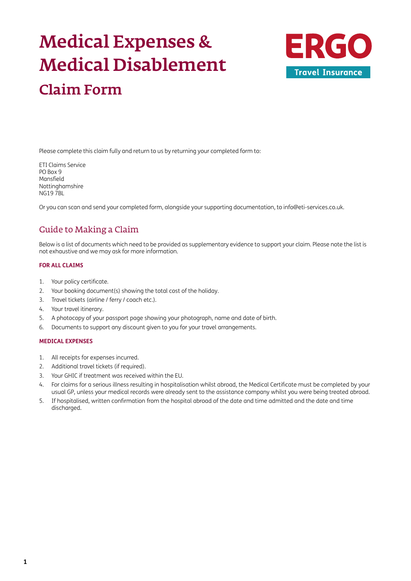# Medical Expenses & Medical Disablement Claim Form



Please complete this claim fully and return to us by returning your completed form to:

ETI Claims Service PO Box 9 Mansfield Nottinghamshire NG19 7BL

Or you can scan and send your completed form, alongside your supporting documentation, to [info@eti-services.co.uk.](mailto:info%40eti-services.co.uk?subject=)

## Guide to Making a Claim

Below is a list of documents which need to be provided as supplementary evidence to support your claim. Please note the list is not exhaustive and we may ask for more information.

#### **FOR ALL CLAIMS**

- 1. Your policy certificate.
- 2. Your booking document(s) showing the total cost of the holiday.
- 3. Travel tickets (airline / ferry / coach etc.).
- 4. Your travel itinerary.
- 5. A photocopy of your passport page showing your photograph, name and date of birth.
- 6. Documents to support any discount given to you for your travel arrangements.

#### **MEDICAL EXPENSES**

- 1. All receipts for expenses incurred.
- 2. Additional travel tickets (if required).
- 3. Your GHIC if treatment was received within the EU.
- 4. For claims for a serious illness resulting in hospitalisation whilst abroad, the Medical Certificate must be completed by your usual GP, unless your medical records were already sent to the assistance company whilst you were being treated abroad.
- 5. If hospitalised, written confirmation from the hospital abroad of the date and time admitted and the date and time discharged.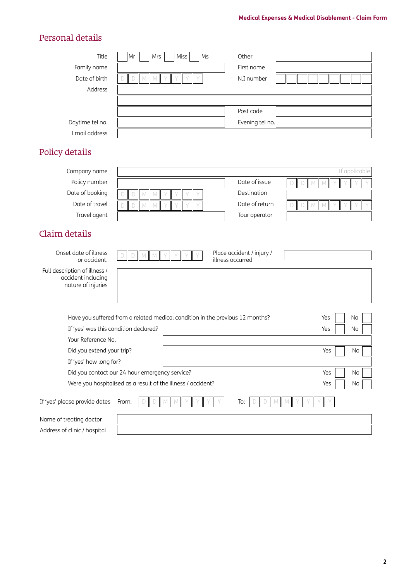## Personal details

| Title           | Mr | Mrs | Miss | Ms | Other           |               |
|-----------------|----|-----|------|----|-----------------|---------------|
| Family name     |    |     |      |    | First name      |               |
| Date of birth   |    |     |      |    | N.I number      |               |
| Address         |    |     |      |    |                 |               |
|                 |    |     |      |    |                 |               |
|                 |    |     |      |    | Post code       |               |
| Daytime tel no. |    |     |      |    | Evening tel no. |               |
| Email address   |    |     |      |    |                 |               |
|                 |    |     |      |    |                 |               |
| Policy details  |    |     |      |    |                 |               |
|                 |    |     |      |    |                 | If annlicable |
| Company pame    |    |     |      |    |                 |               |

| Company name                                                              |                            |        |                                                                               | If applicable          |
|---------------------------------------------------------------------------|----------------------------|--------|-------------------------------------------------------------------------------|------------------------|
| Policy number                                                             |                            |        | Date of issue                                                                 | $\mathsf{M}$<br>M<br>D |
| Date of booking                                                           | M<br>$\Box$<br>M           |        | Destination                                                                   |                        |
| Date of travel                                                            | $\mathbb M$<br>$\Box$<br>M |        | Date of return                                                                | M<br>D<br>M            |
| Travel agent                                                              |                            |        | Tour operator                                                                 |                        |
| Claim details                                                             |                            |        |                                                                               |                        |
| Onset date of illness<br>or accident.                                     | $\Box$<br>$M$ $M$          |        | Place accident / injury /<br>illness occurred                                 |                        |
| Full description of illness /<br>accident including<br>nature of injuries |                            |        |                                                                               |                        |
|                                                                           |                            |        | Have you suffered from a related medical condition in the previous 12 months? | Yes<br>No              |
| If 'yes' was this condition declared?                                     |                            |        |                                                                               | Yes<br>No              |
| Your Reference No.                                                        |                            |        |                                                                               |                        |
| Did you extend your trip?                                                 |                            |        |                                                                               | Yes<br>No              |
| If 'yes' how long for?                                                    |                            |        |                                                                               |                        |
| Did you contact our 24 hour emergency service?                            |                            |        |                                                                               | No<br>Yes              |
| Were you hospitalised as a result of the illness / accident?              |                            |        |                                                                               | Yes<br>No              |
| If 'yes' please provide dates                                             | From:<br>D                 | M<br>M | To:<br>$M_{\odot}$                                                            | M                      |
| Name of treating doctor                                                   |                            |        |                                                                               |                        |
| Address of clinic / hospital                                              |                            |        |                                                                               |                        |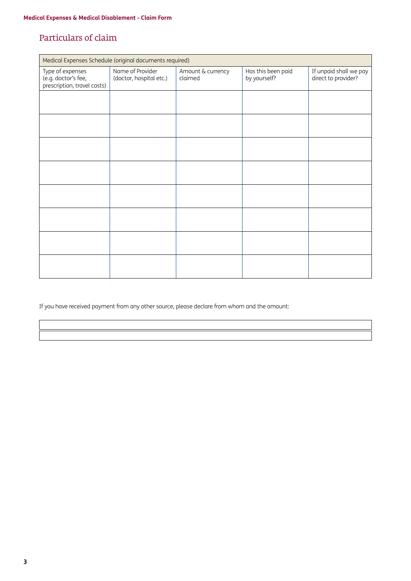### Particulars of claim

|                                                                        | Medical Expenses Schedule (original documents required) |                              |                                    |                                               |  |
|------------------------------------------------------------------------|---------------------------------------------------------|------------------------------|------------------------------------|-----------------------------------------------|--|
| Type of expenses<br>(e.g. doctor's fee,<br>prescription, travel costs) | Name of Provider<br>(doctor, hospital etc.)             | Amount & currency<br>claimed | Has this been paid<br>by yourself? | If unpaid shall we pay<br>direct to provider? |  |
|                                                                        |                                                         |                              |                                    |                                               |  |
|                                                                        |                                                         |                              |                                    |                                               |  |
|                                                                        |                                                         |                              |                                    |                                               |  |
|                                                                        |                                                         |                              |                                    |                                               |  |
|                                                                        |                                                         |                              |                                    |                                               |  |
|                                                                        |                                                         |                              |                                    |                                               |  |
|                                                                        |                                                         |                              |                                    |                                               |  |
|                                                                        |                                                         |                              |                                    |                                               |  |

If you have received payment from any other source, please declare from whom and the amount: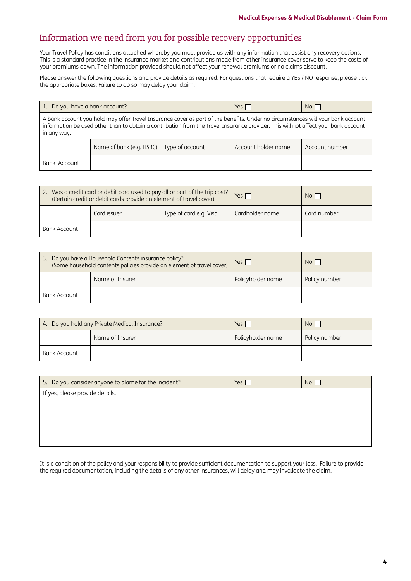## Information we need from you for possible recovery opportunities

Your Travel Policy has conditions attached whereby you must provide us with any information that assist any recovery actions. This is a standard practice in the insurance market and contributions made from other insurance cover serve to keep the costs of your premiums down. The information provided should not affect your renewal premiums or no claims discount.

Please answer the following questions and provide details as required. For questions that require a YES / NO response, please tick the appropriate boxes. Failure to do so may delay your claim.

| 1. Do you have a bank account?                                                                                                                                                                                                                                                       |                          | Yes $\Box$      | $No$                |                |
|--------------------------------------------------------------------------------------------------------------------------------------------------------------------------------------------------------------------------------------------------------------------------------------|--------------------------|-----------------|---------------------|----------------|
| A bank account you hold may offer Travel Insurance cover as part of the benefits. Under no circumstances will your bank account<br>information be used other than to obtain a contribution from the Travel Insurance provider. This will not affect your bank account<br>in any way. |                          |                 |                     |                |
|                                                                                                                                                                                                                                                                                      | Name of bank (e.g. HSBC) | Type of account | Account holder name | Account number |
| Bank Account                                                                                                                                                                                                                                                                         |                          |                 |                     |                |

| 2. Was a credit card or debit card used to pay all or part of the trip cost?<br>(Certain credit or debit cards provide an element of travel cover) |             |                        | Yes $\Gamma$    | No <sub>1</sub> |
|----------------------------------------------------------------------------------------------------------------------------------------------------|-------------|------------------------|-----------------|-----------------|
|                                                                                                                                                    | Card issuer | Type of card e.g. Visa | Cardholder name | Card number     |
| Bank Account                                                                                                                                       |             |                        |                 |                 |

|              | 3. Do you have a Household Contents insurance policy?<br>(Some household contents policies provide an element of travel cover) | $Yes \mid$        | N <sub>O</sub> |
|--------------|--------------------------------------------------------------------------------------------------------------------------------|-------------------|----------------|
|              | Name of Insurer                                                                                                                | Policyholder name | Policy number  |
| Bank Account |                                                                                                                                |                   |                |

| 4. Do you hold any Private Medical Insurance? |                 | Yes,              | No <sub>1</sub> |
|-----------------------------------------------|-----------------|-------------------|-----------------|
|                                               | Name of Insurer | Policyholder name | Policy number   |
| Bank Account                                  |                 |                   |                 |

| 5. Do you consider anyone to blame for the incident? | Yes $\sqrt{}$ | No |
|------------------------------------------------------|---------------|----|
| If yes, please provide details.                      |               |    |
|                                                      |               |    |
|                                                      |               |    |
|                                                      |               |    |
|                                                      |               |    |

It is a condition of the policy and your responsibility to provide sufficient documentation to support your loss. Failure to provide the required documentation, including the details of any other insurances, will delay and may invalidate the claim.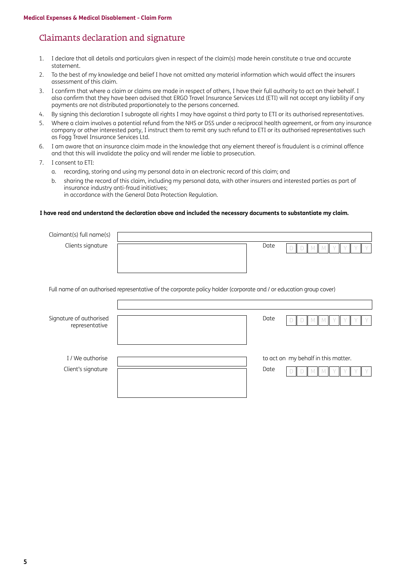## Claimants declaration and signature

- 1. I declare that all details and particulars given in respect of the claim(s) made herein constitute a true and accurate statement.
- 2. To the best of my knowledge and belief I have not omitted any material information which would affect the insurers assessment of this claim.
- 3. I confirm that where a claim or claims are made in respect of others, I have their full authority to act on their behalf. I also confirm that they have been advised that ERGO Travel Insurance Services Ltd (ETI) will not accept any liability if any payments are not distributed proportionately to the persons concerned.
- 4. By signing this declaration I subrogate all rights I may have against a third party to ETI or its authorised representatives.
- 5. Where a claim involves a potential refund from the NHS or DSS under a reciprocal health agreement, or from any insurance company or other interested party, I instruct them to remit any such refund to ETI or its authorised representatives such as Fogg Travel Insurance Services Ltd.
- 6. I am aware that an insurance claim made in the knowledge that any element thereof is fraudulent is a criminal offence and that this will invalidate the policy and will render me liable to prosecution.
- 7. I consent to ETI:
	- a. recording, storing and using my personal data in an electronic record of this claim; and
	- b. sharing the record of this claim, including my personal data, with other insurers and interested parties as part of insurance industry anti-fraud initiatives;
		- in accordance with the General Data Protection Regulation.

 $\mathsf{r}$ 

#### **I have read and understand the declaration above and included the necessary documents to substantiate my claim.**

| Claimant(s) full name(s) |      |  |
|--------------------------|------|--|
| Clients signature        | Date |  |
|                          |      |  |
|                          |      |  |
|                          |      |  |

Full name of an authorised representative of the corporate policy holder (corporate and / or education group cover)

| Signature of authorised<br>representative | Date | M                                   |
|-------------------------------------------|------|-------------------------------------|
| I / We authorise<br>Client's signature    | Date | to act on my behalf in this matter. |
|                                           |      |                                     |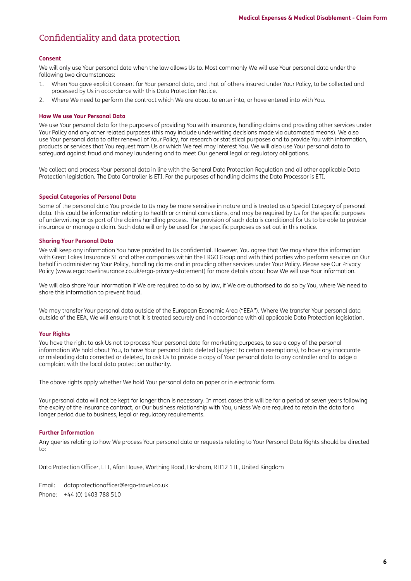## Confidentiality and data protection

#### **Consent**

We will only use Your personal data when the law allows Us to. Most commonly We will use Your personal data under the following two circumstances:

- 1. When You gave explicit Consent for Your personal data, and that of others insured under Your Policy, to be collected and processed by Us in accordance with this Data Protection Notice.
- 2. Where We need to perform the contract which We are about to enter into, or have entered into with You.

#### **How We use Your Personal Data**

We use Your personal data for the purposes of providing You with insurance, handling claims and providing other services under Your Policy and any other related purposes (this may include underwriting decisions made via automated means). We also use Your personal data to offer renewal of Your Policy, for research or statistical purposes and to provide You with information, products or services that You request from Us or which We feel may interest You. We will also use Your personal data to safeguard against fraud and money laundering and to meet Our general legal or regulatory obligations.

We collect and process Your personal data in line with the General Data Protection Regulation and all other applicable Data Protection legislation. The Data Controller is ETI. For the purposes of handling claims the Data Processor is ETI.

#### **Special Categories of Personal Data**

Some of the personal data You provide to Us may be more sensitive in nature and is treated as a Special Category of personal data. This could be information relating to health or criminal convictions, and may be required by Us for the specific purposes of underwriting or as part of the claims handling process. The provision of such data is conditional for Us to be able to provide insurance or manage a claim. Such data will only be used for the specific purposes as set out in this notice.

#### **Sharing Your Personal Data**

We will keep any information You have provided to Us confidential. However, You agree that We may share this information with Great Lakes Insurance SE and other companies within the ERGO Group and with third parties who perform services on Our behalf in administering Your Policy, handling claims and in providing other services under Your Policy. Please see Our Privacy Policy [\(www.ergotravelinsurance.co.uk/ergo-privacy-statement](http://www.ergotravelinsurance.co.uk/ergo-privacy-statement)) for more details about how We will use Your information.

We will also share Your information if We are required to do so by law, if We are authorised to do so by You, where We need to share this information to prevent fraud.

We may transfer Your personal data outside of the European Economic Area ("EEA"). Where We transfer Your personal data outside of the EEA, We will ensure that it is treated securely and in accordance with all applicable Data Protection legislation.

#### **Your Rights**

You have the right to ask Us not to process Your personal data for marketing purposes, to see a copy of the personal information We hold about You, to have Your personal data deleted (subject to certain exemptions), to have any inaccurate or misleading data corrected or deleted, to ask Us to provide a copy of Your personal data to any controller and to lodge a complaint with the local data protection authority.

The above rights apply whether We hold Your personal data on paper or in electronic form.

Your personal data will not be kept for longer than is necessary. In most cases this will be for a period of seven years following the expiry of the insurance contract, or Our business relationship with You, unless We are required to retain the data for a longer period due to business, legal or regulatory requirements.

#### **Further Information**

Any queries relating to how We process Your personal data or requests relating to Your Personal Data Rights should be directed to:

Data Protection Officer, ETI, Afon House, Worthing Road, Horsham, RH12 1TL, United Kingdom

Email: [dataprotectionofficer@ergo-travel.co.uk](mailto:dataprotectionofficer%40ergo-travel.co.uk?subject=) Phone: +44 (0) 1403 788 510